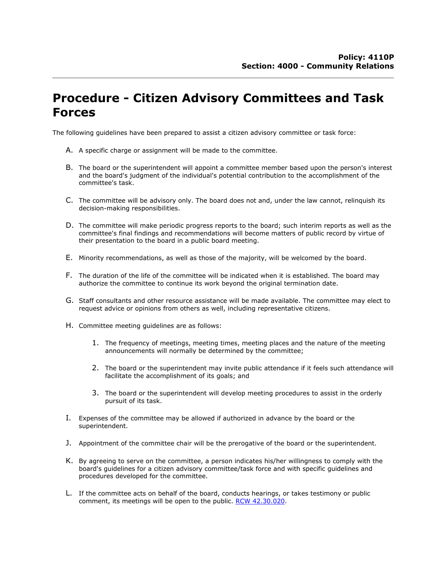## **Procedure - Citizen Advisory Committees and Task Forces**

The following guidelines have been prepared to assist a citizen advisory committee or task force:

- A. A specific charge or assignment will be made to the committee.
- B. The board or the superintendent will appoint a committee member based upon the person's interest and the board's judgment of the individual's potential contribution to the accomplishment of the committee's task.
- C. The committee will be advisory only. The board does not and, under the law cannot, relinquish its decision-making responsibilities.
- D. The committee will make periodic progress reports to the board; such interim reports as well as the committee's final findings and recommendations will become matters of public record by virtue of their presentation to the board in a public board meeting.
- E. Minority recommendations, as well as those of the majority, will be welcomed by the board.
- F. The duration of the life of the committee will be indicated when it is established. The board may authorize the committee to continue its work beyond the original termination date.
- G. Staff consultants and other resource assistance will be made available. The committee may elect to request advice or opinions from others as well, including representative citizens.
- H. Committee meeting guidelines are as follows:
	- 1. The frequency of meetings, meeting times, meeting places and the nature of the meeting announcements will normally be determined by the committee;
	- 2. The board or the superintendent may invite public attendance if it feels such attendance will facilitate the accomplishment of its goals; and
	- 3. The board or the superintendent will develop meeting procedures to assist in the orderly pursuit of its task.
- I. Expenses of the committee may be allowed if authorized in advance by the board or the superintendent.
- J. Appointment of the committee chair will be the prerogative of the board or the superintendent.
- K. By agreeing to serve on the committee, a person indicates his/her willingness to comply with the board's guidelines for a citizen advisory committee/task force and with specific guidelines and procedures developed for the committee.
- L. If the committee acts on behalf of the board, conducts hearings, or takes testimony or public comment, its meetings will be open to the public. [RCW 42.30.020.](http://apps.leg.wa.gov/rcw/default.aspx?cite=42.30.020)